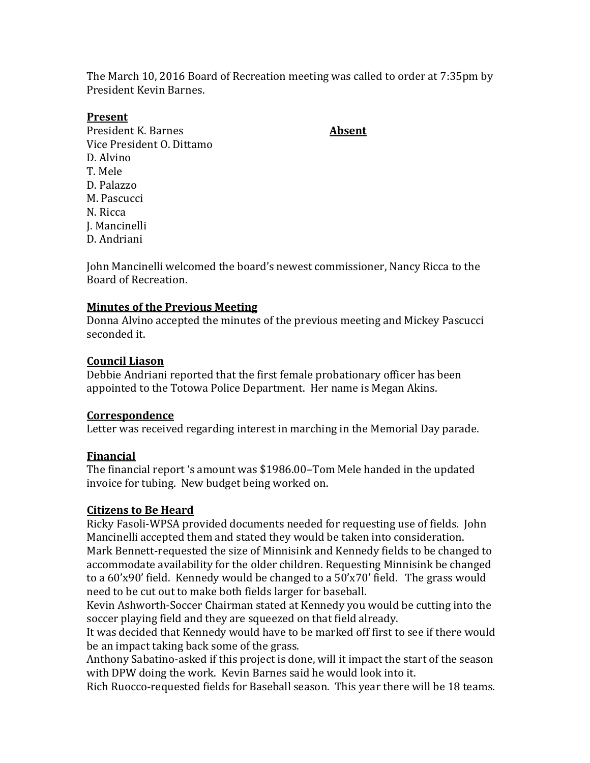The March 10, 2016 Board of Recreation meeting was called to order at 7:35pm by President Kevin Barnes.

### **Present**

President K. Barnes **Absent** Vice President O. Dittamo D. Alvino T. Mele D. Palazzo M. Pascucci N. Ricca J. Mancinelli D. Andriani

John Mancinelli welcomed the board's newest commissioner, Nancy Ricca to the Board of Recreation.

## **Minutes of the Previous Meeting**

Donna Alvino accepted the minutes of the previous meeting and Mickey Pascucci seconded it.

## **Council Liason**

Debbie Andriani reported that the first female probationary officer has been appointed to the Totowa Police Department. Her name is Megan Akins.

## **Correspondence**

Letter was received regarding interest in marching in the Memorial Day parade.

## **Financial**

The financial report 's amount was \$1986.00–Tom Mele handed in the updated invoice for tubing. New budget being worked on.

## **Citizens to Be Heard**

Ricky Fasoli-WPSA provided documents needed for requesting use of fields. John Mancinelli accepted them and stated they would be taken into consideration. Mark Bennett-requested the size of Minnisink and Kennedy fields to be changed to

accommodate availability for the older children. Requesting Minnisink be changed to a 60'x90' field. Kennedy would be changed to a 50'x70' field. The grass would need to be cut out to make both fields larger for baseball.

Kevin Ashworth-Soccer Chairman stated at Kennedy you would be cutting into the soccer playing field and they are squeezed on that field already.

It was decided that Kennedy would have to be marked off first to see if there would be an impact taking back some of the grass.

Anthony Sabatino-asked if this project is done, will it impact the start of the season with DPW doing the work. Kevin Barnes said he would look into it.

Rich Ruocco-requested fields for Baseball season. This year there will be 18 teams.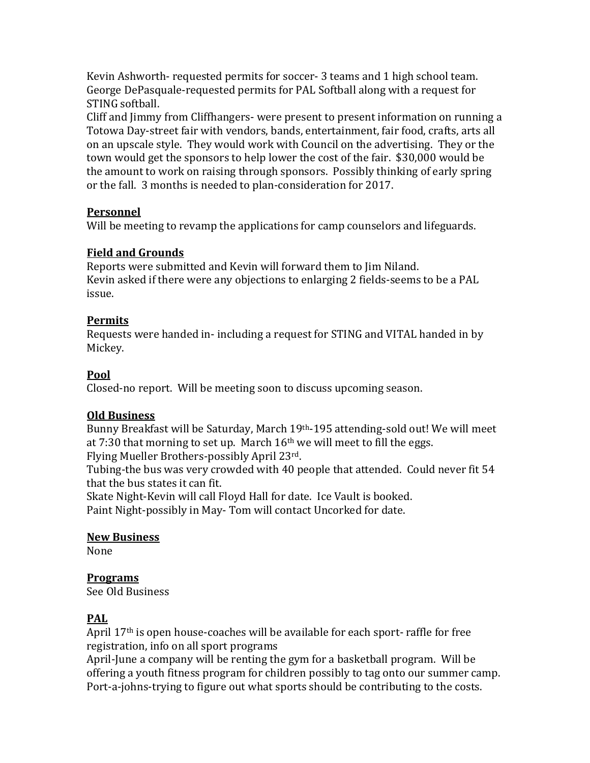Kevin Ashworth- requested permits for soccer- 3 teams and 1 high school team. George DePasquale-requested permits for PAL Softball along with a request for STING softball.

Cliff and Jimmy from Cliffhangers- were present to present information on running a Totowa Day-street fair with vendors, bands, entertainment, fair food, crafts, arts all on an upscale style. They would work with Council on the advertising. They or the town would get the sponsors to help lower the cost of the fair. \$30,000 would be the amount to work on raising through sponsors. Possibly thinking of early spring or the fall. 3 months is needed to plan-consideration for 2017.

## **Personnel**

Will be meeting to revamp the applications for camp counselors and lifeguards.

## **Field and Grounds**

Reports were submitted and Kevin will forward them to Jim Niland. Kevin asked if there were any objections to enlarging 2 fields-seems to be a PAL issue.

## **Permits**

Requests were handed in- including a request for STING and VITAL handed in by Mickey.

# **Pool**

Closed-no report. Will be meeting soon to discuss upcoming season.

# **Old Business**

Bunny Breakfast will be Saturday, March 19th-195 attending-sold out! We will meet at 7:30 that morning to set up. March  $16<sup>th</sup>$  we will meet to fill the eggs. Flying Mueller Brothers-possibly April 23rd.

Tubing-the bus was very crowded with 40 people that attended. Could never fit 54 that the bus states it can fit.

Skate Night-Kevin will call Floyd Hall for date. Ice Vault is booked. Paint Night-possibly in May- Tom will contact Uncorked for date.

# **New Business**

None

# **Programs**

See Old Business

# **PAL**

April 17th is open house-coaches will be available for each sport- raffle for free registration, info on all sport programs

April-June a company will be renting the gym for a basketball program. Will be offering a youth fitness program for children possibly to tag onto our summer camp. Port-a-johns-trying to figure out what sports should be contributing to the costs.